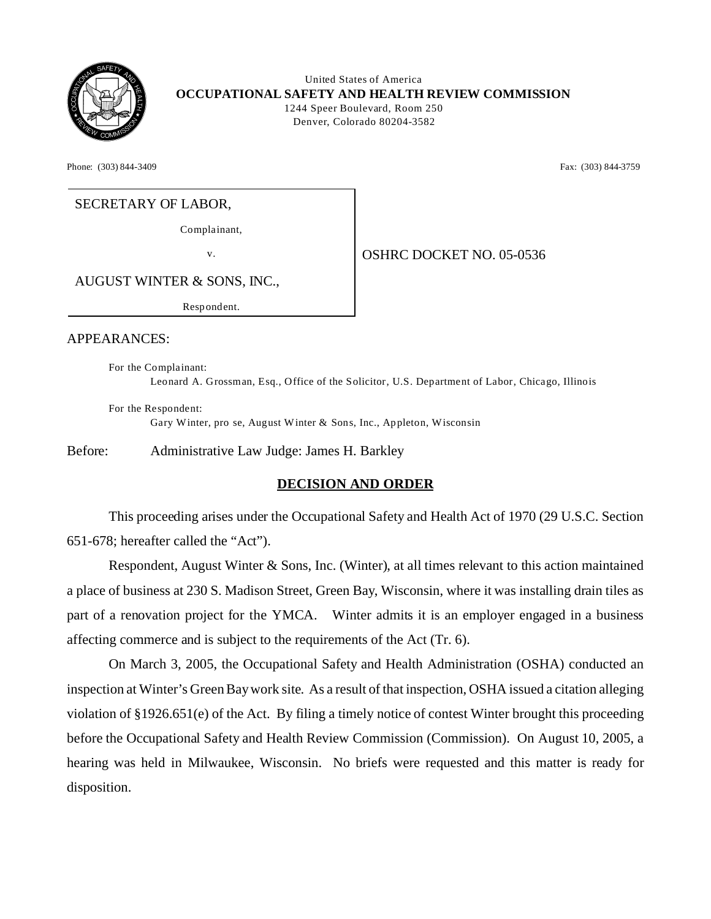

 United States of America **OCCUPATIONAL SAFETY AND HEALTH REVIEW COMMISSION** 1244 Speer Boulevard, Room 250 Denver, Colorado 80204-3582

Phone: (303) 844-3409 **Fax:** (303) 844-3759

## SECRETARY OF LABOR,

Complainant,

v. Same **OSHRC DOCKET NO. 05-0536** 

AUGUST WINTER & SONS, INC.,

Respondent.

#### APPEARANCES:

For the Complainant: Leonard A. Grossman, Esq., Office of the Solicitor, U.S. Department of Labor, Chicago, Illinois

For the Respondent: Gary Winter, pro se, August Winter & Sons, Inc., Appleton, Wisconsin

Before: Administrative Law Judge: James H. Barkley

# **DECISION AND ORDER**

This proceeding arises under the Occupational Safety and Health Act of 1970 (29 U.S.C. Section 651-678; hereafter called the "Act").

Respondent, August Winter & Sons, Inc. (Winter), at all times relevant to this action maintained a place of business at 230 S. Madison Street, Green Bay, Wisconsin, where it was installing drain tiles as part of a renovation project for the YMCA. Winter admits it is an employer engaged in a business affecting commerce and is subject to the requirements of the Act (Tr. 6).

On March 3, 2005, the Occupational Safety and Health Administration (OSHA) conducted an inspection at Winter's Green Bay work site. As a result of that inspection, OSHA issued a citation alleging violation of §1926.651(e) of the Act. By filing a timely notice of contest Winter brought this proceeding before the Occupational Safety and Health Review Commission (Commission). On August 10, 2005, a hearing was held in Milwaukee, Wisconsin. No briefs were requested and this matter is ready for disposition.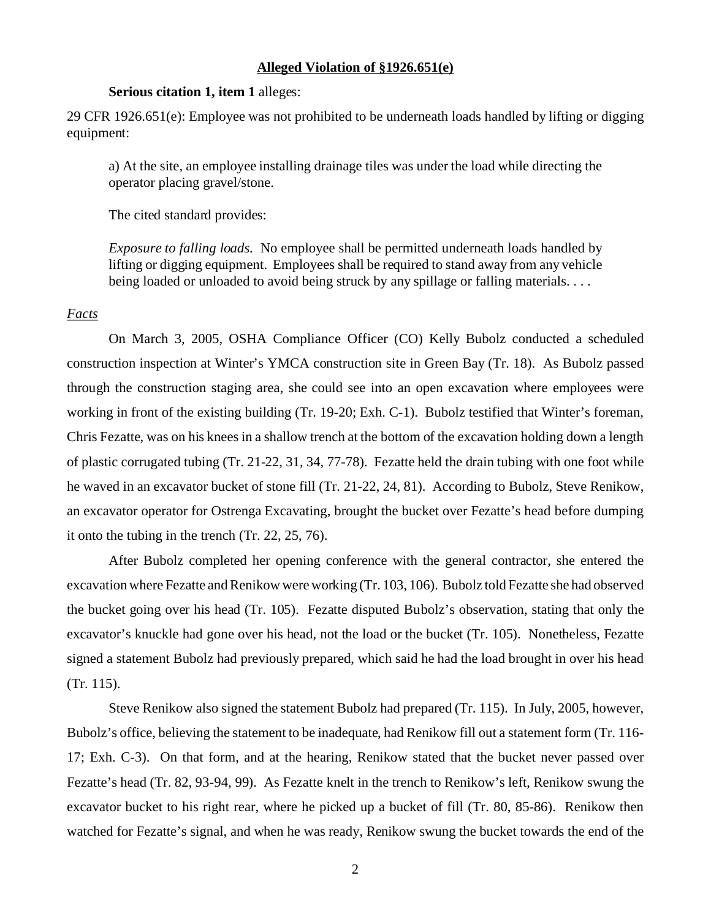#### **Alleged Violation of §1926.651(e)**

## **Serious citation 1, item 1** alleges:

29 CFR 1926.651(e): Employee was not prohibited to be underneath loads handled by lifting or digging equipment:

a) At the site, an employee installing drainage tiles was under the load while directing the operator placing gravel/stone.

The cited standard provides:

*Exposure to falling loads.* No employee shall be permitted underneath loads handled by lifting or digging equipment. Employees shall be required to stand away from any vehicle being loaded or unloaded to avoid being struck by any spillage or falling materials. . . .

#### *Facts*

On March 3, 2005, OSHA Compliance Officer (CO) Kelly Bubolz conducted a scheduled construction inspection at Winter's YMCA construction site in Green Bay (Tr. 18). As Bubolz passed through the construction staging area, she could see into an open excavation where employees were working in front of the existing building (Tr. 19-20; Exh. C-1). Bubolz testified that Winter's foreman, Chris Fezatte, was on his knees in a shallow trench at the bottom of the excavation holding down a length of plastic corrugated tubing (Tr. 21-22, 31, 34, 77-78). Fezatte held the drain tubing with one foot while he waved in an excavator bucket of stone fill (Tr. 21-22, 24, 81). According to Bubolz, Steve Renikow, an excavator operator for Ostrenga Excavating, brought the bucket over Fezatte's head before dumping it onto the tubing in the trench (Tr. 22, 25, 76).

After Bubolz completed her opening conference with the general contractor, she entered the excavation where Fezatte and Renikow were working (Tr. 103, 106). Bubolz told Fezatte she had observed the bucket going over his head (Tr. 105). Fezatte disputed Bubolz's observation, stating that only the excavator's knuckle had gone over his head, not the load or the bucket (Tr. 105). Nonetheless, Fezatte signed a statement Bubolz had previously prepared, which said he had the load brought in over his head (Tr. 115).

Steve Renikow also signed the statement Bubolz had prepared (Tr. 115). In July, 2005, however, Bubolz's office, believing the statement to be inadequate, had Renikow fill out a statement form (Tr. 116 17; Exh. C-3). On that form, and at the hearing, Renikow stated that the bucket never passed over Fezatte's head (Tr. 82, 93-94, 99). As Fezatte knelt in the trench to Renikow's left, Renikow swung the excavator bucket to his right rear, where he picked up a bucket of fill (Tr. 80, 85-86). Renikow then watched for Fezatte's signal, and when he was ready, Renikow swung the bucket towards the end of the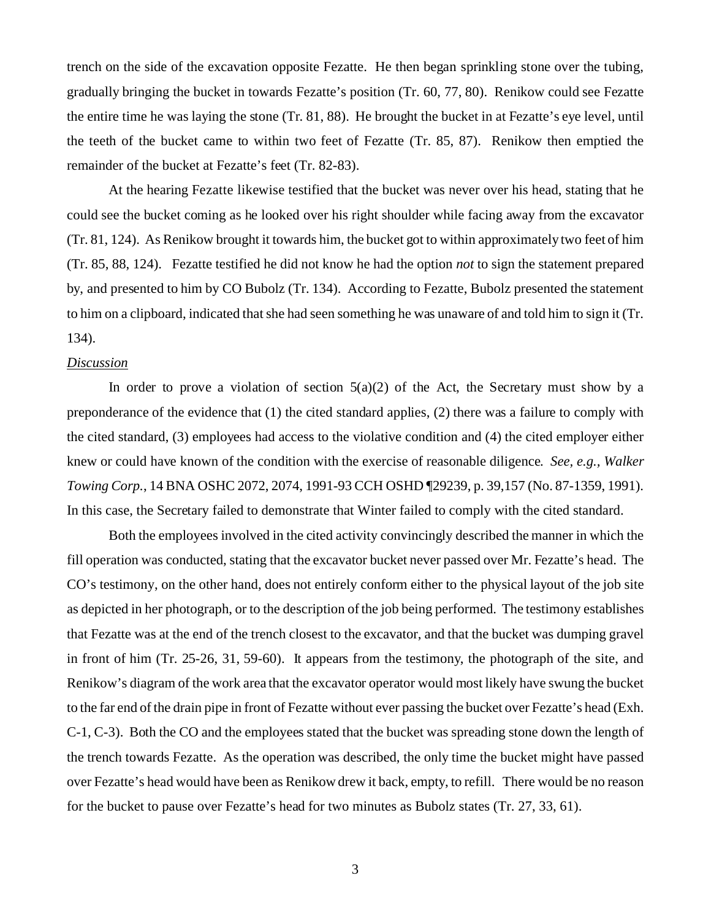trench on the side of the excavation opposite Fezatte. He then began sprinkling stone over the tubing, gradually bringing the bucket in towards Fezatte's position (Tr. 60, 77, 80). Renikow could see Fezatte the entire time he was laying the stone (Tr. 81, 88). He brought the bucket in at Fezatte's eye level, until the teeth of the bucket came to within two feet of Fezatte (Tr. 85, 87). Renikow then emptied the remainder of the bucket at Fezatte's feet (Tr. 82-83).

At the hearing Fezatte likewise testified that the bucket was never over his head, stating that he could see the bucket coming as he looked over his right shoulder while facing away from the excavator (Tr. 81, 124). As Renikow brought it towards him, the bucket got to within approximately two feet of him (Tr. 85, 88, 124). Fezatte testified he did not know he had the option *not* to sign the statement prepared by, and presented to him by CO Bubolz (Tr. 134). According to Fezatte, Bubolz presented the statement to him on a clipboard, indicated that she had seen something he was unaware of and told him to sign it (Tr. 134).

### *Discussion*

In order to prove a violation of section  $5(a)(2)$  of the Act, the Secretary must show by a preponderance of the evidence that (1) the cited standard applies, (2) there was a failure to comply with the cited standard, (3) employees had access to the violative condition and (4) the cited employer either knew or could have known of the condition with the exercise of reasonable diligence. *See, e.g., Walker Towing Corp.*, 14 BNA OSHC 2072, 2074, 1991-93 CCH OSHD ¶29239, p. 39,157 (No. 87-1359, 1991). In this case, the Secretary failed to demonstrate that Winter failed to comply with the cited standard.

Both the employees involved in the cited activity convincingly described the manner in which the fill operation was conducted, stating that the excavator bucket never passed over Mr. Fezatte's head. The CO's testimony, on the other hand, does not entirely conform either to the physical layout of the job site as depicted in her photograph, or to the description of the job being performed. The testimony establishes that Fezatte was at the end of the trench closest to the excavator, and that the bucket was dumping gravel in front of him (Tr. 25-26, 31, 59-60). It appears from the testimony, the photograph of the site, and Renikow's diagram of the work area that the excavator operator would most likely have swung the bucket to the far end of the drain pipe in front of Fezatte without ever passing the bucket over Fezatte's head (Exh. C-1, C-3). Both the CO and the employees stated that the bucket was spreading stone down the length of the trench towards Fezatte. As the operation was described, the only time the bucket might have passed over Fezatte's head would have been as Renikow drew it back, empty, to refill. There would be no reason for the bucket to pause over Fezatte's head for two minutes as Bubolz states (Tr. 27, 33, 61).